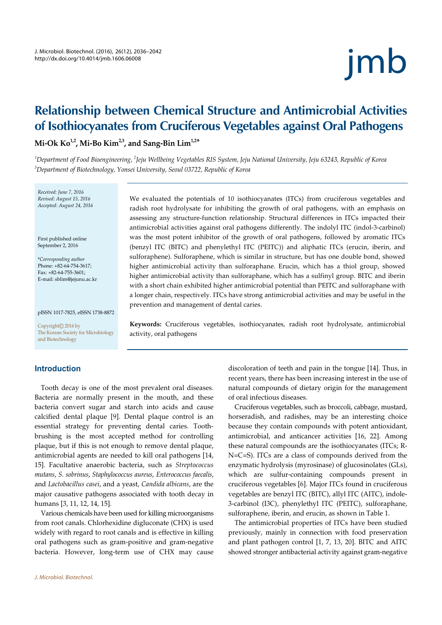# jmb

# Relationship between Chemical Structure and Antimicrobial Activities of Isothiocyanates from Cruciferous Vegetables against Oral Pathogens

Mi-Ok  $\text{Ko}^{1,2}$ , Mi-Bo  $\text{Kim}^{2,3}$ , and Sang-Bin  $\text{Lim}^{1,2*}$ 

'Department of Food Bioengineering, ´Jeju Wellbeing Vegetables RIS System, Jeju National University, Jeju 63243, Republic of Korea 3 Department of Biotechnology, Yonsei University, Seoul 03722, Republic of Korea

Received: June 7, 2016 Revised: August 15, 2016 Accepted: August 24, 2016

First published online September 2, 2016

\*Corresponding author Phone: +82-64-754-3617; Fax: +82-64-755-3601; E-mail: sblim@jejunu.ac.kr

pISSN 1017-7825, eISSN 1738-8872

Copyright© 2016 by The Korean Society for Microbiology and Biotechnology

# Introduction

Tooth decay is one of the most prevalent oral diseases. Bacteria are normally present in the mouth, and these bacteria convert sugar and starch into acids and cause calcified dental plaque [9]. Dental plaque control is an essential strategy for preventing dental caries. Toothbrushing is the most accepted method for controlling plaque, but if this is not enough to remove dental plaque, antimicrobial agents are needed to kill oral pathogens [14, 15]. Facultative anaerobic bacteria, such as Streptococcus mutans, S. sobrinus, Staphylococcus aureus, Enterococcus faecalis, and Lactobacillus casei, and a yeast, Candida albicans, are the major causative pathogens associated with tooth decay in humans [3, 11, 12, 14, 15].

Various chemicals have been used for killing microorganisms from root canals. Chlorhexidine digluconate (CHX) is used widely with regard to root canals and is effective in killing oral pathogens such as gram-positive and gram-negative bacteria. However, long-term use of CHX may cause

We evaluated the potentials of 10 isothiocyanates (ITCs) from cruciferous vegetables and radish root hydrolysate for inhibiting the growth of oral pathogens, with an emphasis on assessing any structure-function relationship. Structural differences in ITCs impacted their antimicrobial activities against oral pathogens differently. The indolyl ITC (indol-3-carbinol) was the most potent inhibitor of the growth of oral pathogens, followed by aromatic ITCs (benzyl ITC (BITC) and phenylethyl ITC (PEITC)) and aliphatic ITCs (erucin, iberin, and sulforaphene). Sulforaphene, which is similar in structure, but has one double bond, showed higher antimicrobial activity than sulforaphane. Erucin, which has a thiol group, showed higher antimicrobial activity than sulforaphane, which has a sulfinyl group. BITC and iberin with a short chain exhibited higher antimicrobial potential than PEITC and sulforaphane with a longer chain, respectively. ITCs have strong antimicrobial activities and may be useful in the prevention and management of dental caries.

Keywords: Cruciferous vegetables, isothiocyanates, radish root hydrolysate, antimicrobial activity, oral pathogens

> discoloration of teeth and pain in the tongue [14]. Thus, in recent years, there has been increasing interest in the use of natural compounds of dietary origin for the management of oral infectious diseases.

> Cruciferous vegetables, such as broccoli, cabbage, mustard, horseradish, and radishes, may be an interesting choice because they contain compounds with potent antioxidant, antimicrobial, and anticancer activities [16, 22]. Among these natural compounds are the isothiocyanates (ITCs; R-N=C=S). ITCs are a class of compounds derived from the enzymatic hydrolysis (myrosinase) of glucosinolates (GLs), which are sulfur-containing compounds present in cruciferous vegetables [6]. Major ITCs found in cruciferous vegetables are benzyl ITC (BITC), allyl ITC (AITC), indole-3-carbinol (I3C), phenylethyl ITC (PEITC), sulforaphane, sulforaphene, iberin, and erucin, as shown in Table 1.

> The antimicrobial properties of ITCs have been studied previously, mainly in connection with food preservation and plant pathogen control [1, 7, 13, 20]. BITC and AITC showed stronger antibacterial activity against gram-negative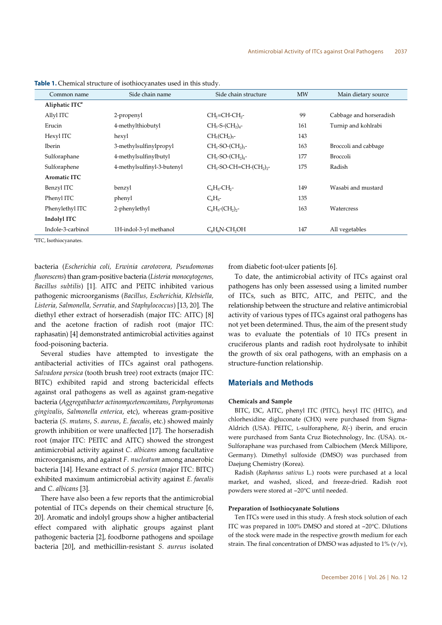| Common name                | Side chain name            | Side chain structure                              | <b>MW</b> | Main dietary source     |
|----------------------------|----------------------------|---------------------------------------------------|-----------|-------------------------|
| Aliphatic ITC <sup>a</sup> |                            |                                                   |           |                         |
| Allyl ITC                  | 2-propenyl                 | CH <sub>2</sub> =CH-CH <sub>2</sub> -             | 99        | Cabbage and horseradish |
| Erucin                     | 4-methylthiobutyl          | $CH3-S-(CH3)4-$                                   | 161       | Turnip and kohlrabi     |
| Hexyl ITC                  | hexyl                      | $CH3(CH2)5$ -                                     | 143       |                         |
| <b>Iberin</b>              | 3-methylsulfinylpropyl     | $CH3-SO-(CH2)3-$                                  | 163       | Broccoli and cabbage    |
| Sulforaphane               | 4-methylsulfinylbutyl      | $CH3-SO-(CH2)4-$                                  | 177       | <b>Broccoli</b>         |
| Sulforaphene               | 4-methylsulfinyl-3-butenyl | $CH3$ -SO-CH=CH-(CH <sub>2</sub> ) <sub>2</sub> - | 175       | Radish                  |
| Aromatic ITC               |                            |                                                   |           |                         |
| Benzyl ITC                 | benzyl                     | $C_6H_5$ -CH <sub>2</sub> -                       | 149       | Wasabi and mustard      |
| Phenyl ITC                 | phenyl                     | $C_6H_5$ -                                        | 135       |                         |
| Phenylethyl ITC            | 2-phenylethyl              | $C_6H_5$ -(CH <sub>2</sub> ) <sub>2</sub> -       | 163       | Watercress              |
| Indolyl ITC                |                            |                                                   |           |                         |
| Indole-3-carbinol          | 1H-indol-3-yl methanol     | $C_sH_sN$ -CH <sub>2</sub> OH                     | 147       | All vegetables          |

| Table 1. Chemical structure of isothiocyanates used in this study. |  |
|--------------------------------------------------------------------|--|
|                                                                    |  |

a ITC, Isothiocyanates.

bacteria (Escherichia coli, Erwinia carotovora, Pseudomonas fluorescens) than gram-positive bacteria (Listeria monocytogenes, Bacillus subtilis) [1]. AITC and PEITC inhibited various pathogenic microorganisms (Bacillus, Escherichia, Klebsiella, Listeria, Salmonella, Serratia, and Staphylococcus) [13, 20]. The diethyl ether extract of horseradish (major ITC: AITC) [8] and the acetone fraction of radish root (major ITC: raphasatin) [4] demonstrated antimicrobial activities against food-poisoning bacteria.

Several studies have attempted to investigate the antibacterial activities of ITCs against oral pathogens. Salvadora persica (tooth brush tree) root extracts (major ITC: BITC) exhibited rapid and strong bactericidal effects against oral pathogens as well as against gram-negative bacteria (Aggregatibacter actinomycetemcomitans, Porphyromonas gingivalis, Salmonella enterica, etc), whereas gram-positive bacteria (S. mutans, S. aureus, E. faecalis, etc.) showed mainly growth inhibition or were unaffected [17]. The horseradish root (major ITC: PEITC and AITC) showed the strongest antimicrobial activity against C. albicans among facultative microorganisms, and against F. nucleatum among anaerobic bacteria [14]. Hexane extract of S. persica (major ITC: BITC) exhibited maximum antimicrobial activity against E. faecalis and C. albicans [3].

There have also been a few reports that the antimicrobial potential of ITCs depends on their chemical structure [6, 20]. Aromatic and indolyl groups show a higher antibacterial effect compared with aliphatic groups against plant pathogenic bacteria [2], foodborne pathogens and spoilage bacteria [20], and methicillin-resistant S. aureus isolated

from diabetic foot-ulcer patients [6].

To date, the antimicrobial activity of ITCs against oral pathogens has only been assessed using a limited number of ITCs, such as BITC, AITC, and PEITC, and the relationship between the structure and relative antimicrobial activity of various types of ITCs against oral pathogens has not yet been determined. Thus, the aim of the present study was to evaluate the potentials of 10 ITCs present in cruciferous plants and radish root hydrolysate to inhibit the growth of six oral pathogens, with an emphasis on a structure-function relationship.

#### Materials and Methods

#### Chemicals and Sample

BITC, I3C, AITC, phenyl ITC (PITC), hexyl ITC (HITC), and chlorhexidine digluconate (CHX) were purchased from Sigma-Aldrich (USA). PEITC, L-sulforaphene, R(-) iberin, and erucin were purchased from Santa Cruz Biotechnology, Inc. (USA). DL-Sulforaphane was purchased from Calbiochem (Merck Millipore, Germany). Dimethyl sulfoxide (DMSO) was purchased from Daejung Chemistry (Korea).

Radish (Raphanus sativus L.) roots were purchased at a local market, and washed, sliced, and freeze-dried. Radish root powders were stored at -20°C until needed.

## Preparation of Isothiocyanate Solutions

Ten ITCs were used in this study. A fresh stock solution of each ITC was prepared in 100% DMSO and stored at -20°C. Dilutions of the stock were made in the respective growth medium for each strain. The final concentration of DMSO was adjusted to  $1\%$  (v/v),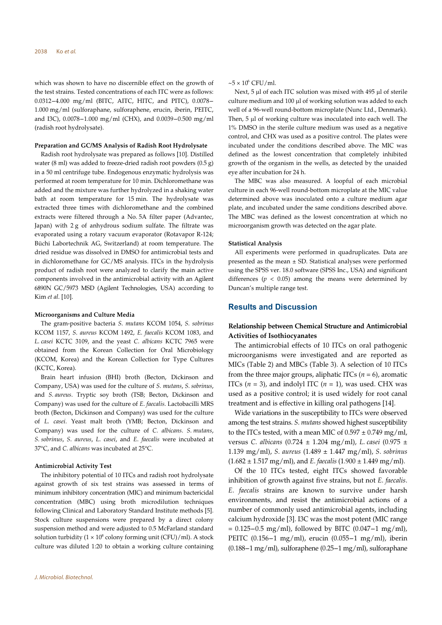which was shown to have no discernible effect on the growth of the test strains. Tested concentrations of each ITC were as follows: 0.0312–4.000 mg/ml (b) have no discernible effect on the growth of<br>the test strains. Tested concentrations of each ITC were as follows:<br>0.0312–4.000 mg/ml (BITC, AITC, HITC, and PITC), 0.0078– 1.000 mg/ml (sulforaphane, sulforaphene, erucin, iberin, PEITC, which was shown to have no discernible effect on the growth of<br>the test strains. Tested concentrations of each ITC were as follows:<br>0.0312–4.000 mg/ml (BITC, AITC, HITC, and PITC), 0.0078–<br>1.000 mg/ml (sulforaphane, sulfor (radish root hydrolysate).

#### Preparation and GC/MS Analysis of Radish Root Hydrolysate

Radish root hydrolysate was prepared as follows [10]. Distilled water (8 ml) was added to freeze-dried radish root powders (0.5 g) in a 50 ml centrifuge tube. Endogenous enzymatic hydrolysis was performed at room temperature for 10 min. Dichloromethane was added and the mixture was further hydrolyzed in a shaking water bath at room temperature for 15 min. The hydrolysate was extracted three times with dichloromethane and the combined extracts were filtered through a No. 5A filter paper (Advantec, Japan) with 2 g of anhydrous sodium sulfate. The filtrate was evaporated using a rotary vacuum evaporator (Rotavapor R-124; Büchi Labortechnik AG, Switzerland) at room temperature. The dried residue was dissolved in DMSO for antimicrobial tests and in dichloromethane for GC/MS analysis. ITCs in the hydrolysis product of radish root were analyzed to clarify the main active components involved in the antimicrobial activity with an Agilent 6890N GC/5973 MSD (Agilent Technologies, USA) according to Kim et al. [10].

#### Microorganisms and Culture Media

The gram-positive bacteria S. mutans KCOM 1054, S. sobrinus KCOM 1157, S. aureus KCOM 1492, E. faecalis KCOM 1083, and L. casei KCTC 3109, and the yeast C. albicans KCTC 7965 were obtained from the Korean Collection for Oral Microbiology (KCOM, Korea) and the Korean Collection for Type Cultures (KCTC, Korea).

Brain heart infusion (BHI) broth (Becton, Dickinson and Company, USA) was used for the culture of S. mutans, S. sobrinus, and S. aureus. Tryptic soy broth (TSB; Becton, Dickinson and Company) was used for the culture of E. faecalis. Lactobacilli MRS broth (Becton, Dickinson and Company) was used for the culture of L. casei. Yeast malt broth (YMB; Becton, Dickinson and Company) was used for the culture of C. albicans. S. mutans, S. sobrinus, S. aureus, L. casei, and E. faecalis were incubated at 37°C, and C. albicans was incubated at 25°C.

#### Antimicrobial Activity Test

The inhibitory potential of 10 ITCs and radish root hydrolysate against growth of six test strains was assessed in terms of minimum inhibitory concentration (MIC) and minimum bactericidal concentration (MBC) using broth microdilution techniques following Clinical and Laboratory Standard Institute methods [5]. Stock culture suspensions were prepared by a direct colony suspension method and were adjusted to 0.5 McFarland standard solution turbidity  $(1 \times 10^8 \text{ colony forming unit (CFU)/ml})$ . A stock culture was diluted 1:20 to obtain a working culture containing

 $\sim$ 5 × 10° CFU/ml.

Next, 5 μl of each ITC solution was mixed with 495 μl of sterile culture medium and 100 μl of working solution was added to each well of a 96-well round-bottom microplate (Nunc Ltd., Denmark). Then, 5 μl of working culture was inoculated into each well. The 1% DMSO in the sterile culture medium was used as a negative control, and CHX was used as a positive control. The plates were incubated under the conditions described above. The MIC was defined as the lowest concentration that completely inhibited growth of the organism in the wells, as detected by the unaided eye after incubation for 24 h.

The MBC was also measured. A loopful of each microbial culture in each 96-well round-bottom microplate at the MIC value determined above was inoculated onto a culture medium agar plate, and incubated under the same conditions described above. The MBC was defined as the lowest concentration at which no microorganism growth was detected on the agar plate.

#### Statistical Analysis

All experiments were performed in quadruplicates. Data are presented as the mean ± SD. Statistical analyses were performed using the SPSS ver. 18.0 software (SPSS Inc., USA) and significant differences ( $p < 0.05$ ) among the means were determined by Duncan's multiple range test.

# Results and Discussion

# Relationship between Chemical Structure and Antimicrobial Activities of Isothiocyanates

The antimicrobial effects of 10 ITCs on oral pathogenic microorganisms were investigated and are reported as MICs (Table 2) and MBCs (Table 3). A selection of 10 ITCs from the three major groups, aliphatic ITCs  $(n = 6)$ , aromatic ITCs ( $n = 3$ ), and indolyl ITC ( $n = 1$ ), was used. CHX was used as a positive control; it is used widely for root canal treatment and is effective in killing oral pathogens [14].

Wide variations in the susceptibility to ITCs were observed among the test strains. S. mutans showed highest susceptibility to the ITCs tested, with a mean MIC of  $0.597 \pm 0.749$  mg/ml, versus C. albicans (0.724 ± 1.204 mg/ml), L. casei (0.975 ± 1.139 mg/ml), *S. aureus* (1.489  $\pm$  1.447 mg/ml), *S. sobrinus*  $(1.682 \pm 1.517 \text{ mg/ml})$ , and *E. faecalis*  $(1.900 \pm 1.449 \text{ mg/ml})$ .

Of the 10 ITCs tested, eight ITCs showed favorable inhibition of growth against five strains, but not E. faecalis. E. faecalis strains are known to survive under harsh environments, and resist the antimicrobial actions of a<br>number of commonly used antimicrobial agents, including<br>calcium hydroxide [3]. I3C was the most potent (MIC range<br>= 0.125–0.5 mg/ml), followed by BITC (0.047–1 mg/ml) number of commonly used antimicrobial agents, including calcium hydroxide [3]. I3C was the most potent (MIC range inhibition of growth against five strains, but not *E*. *faecalis*.<br>*E. faecalis* strains are known to survive under harsh<br>environments, and resist the antimicrobial actions of a<br>number of commonly used antimicrobial agen *E. faecalis* strains are known to survive under harsh environments, and resist the antimicrobial actions of a number of commonly used antimicrobial agents, including calcium hydroxide [3]. I3C was the most potent (MIC ra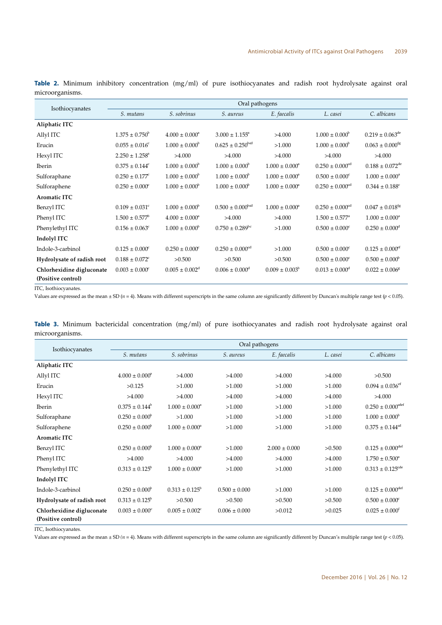| Isothiocyanates            | Oral pathogens                 |                              |                                 |                           |                                 |                                 |  |  |  |
|----------------------------|--------------------------------|------------------------------|---------------------------------|---------------------------|---------------------------------|---------------------------------|--|--|--|
|                            | S. mutans                      | S. sobrinus                  | S. aureus                       | E. faecalis               | L. casei                        | C. albicans                     |  |  |  |
| Aliphatic ITC              |                                |                              |                                 |                           |                                 |                                 |  |  |  |
| Allyl ITC                  | $1.375 \pm 0.750^{\circ}$      | $4.000 \pm 0.000^a$          | $3.000 \pm 1.155^{\circ}$       | >4.000                    | $1.000 \pm 0.000^{\circ}$       | $0.219 \pm 0.063^{\text{de}}$   |  |  |  |
| Erucin                     | $0.055 \pm 0.016$ <sup>c</sup> | $1.000 \pm 0.000^{\circ}$    | $0.625 \pm 0.250^{bcd}$         | >1.000                    | $1.000 \pm 0.000^{\circ}$       | $0.063 \pm 0.000^{\text{fg}}$   |  |  |  |
| Hexyl ITC                  | $2.250 \pm 1.258$ <sup>a</sup> | >4.000                       | >4.000                          | >4.000                    | >4.000                          | >4.000                          |  |  |  |
| <b>Iberin</b>              | $0.375 \pm 0.144^c$            | $1.000 \pm 0.000^{\circ}$    | $1.000 \pm 0.000^{\circ}$       | $1.000 \pm 0.000^{\circ}$ | $0.250 \pm 0.000$ <sup>cd</sup> | $0.188 \pm 0.072$ <sup>de</sup> |  |  |  |
| Sulforaphane               | $0.250 \pm 0.177^{\circ}$      | $1.000 \pm 0.000^{\circ}$    | $1.000 \pm 0.000^{\circ}$       | $1.000 \pm 0.000^a$       | $0.500 \pm 0.000^{\circ}$       | $1.000 \pm 0.000^a$             |  |  |  |
| Sulforaphene               | $0.250 \pm 0.000^{\circ}$      | $1.000 \pm 0.000^{\circ}$    | $1.000 \pm 0.000^{\circ}$       | $1.000 \pm 0.000^a$       | $0.250 \pm 0.000$ <sup>cd</sup> | $0.344 \pm 0.188$ <sup>c</sup>  |  |  |  |
| <b>Aromatic ITC</b>        |                                |                              |                                 |                           |                                 |                                 |  |  |  |
| Benzyl ITC                 | $0.109 \pm 0.031$ <sup>c</sup> | $1.000 \pm 0.000^{\circ}$    | $0.500 \pm 0.000^{bcd}$         | $1.000 \pm 0.000^{\circ}$ | $0.250 \pm 0.000$ <sup>cd</sup> | $0.047 \pm 0.018$ <sup>fg</sup> |  |  |  |
| Phenyl ITC                 | $1.500 \pm 0.577^{\circ}$      | $4.000 \pm 0.000^a$          | >4.000                          | >4.000                    | $1.500 \pm 0.577$ <sup>a</sup>  | $1.000 \pm 0.000^a$             |  |  |  |
| Phenylethyl ITC            | $0.156 \pm 0.063$ <sup>c</sup> | $1.000 \pm 0.000^{\circ}$    | $0.750 \pm 0.289$ <sup>bc</sup> | >1.000                    | $0.500 \pm 0.000^{\circ}$       | $0.250 \pm 0.000$ <sup>d</sup>  |  |  |  |
| Indolyl ITC                |                                |                              |                                 |                           |                                 |                                 |  |  |  |
| Indole-3-carbinol          | $0.125 \pm 0.000$ <sup>c</sup> | $0.250 \pm 0.000^{\circ}$    | $0.250 \pm 0.000$ <sup>cd</sup> | >1.000                    | $0.500 \pm 0.000^{\circ}$       | $0.125 \pm 0.000$ <sup>ef</sup> |  |  |  |
| Hydrolysate of radish root | $0.188 \pm 0.072$ <sup>c</sup> | >0.500                       | >0.500                          | >0.500                    | $0.500 \pm 0.000^{\circ}$       | $0.500 \pm 0.000^{\circ}$       |  |  |  |
| Chlorhexidine digluconate  | $0.003 \pm 0.000^{\circ}$      | $0.005 \pm 0.002^{\text{d}}$ | $0.006 \pm 0.000^4$             | $0.009 \pm 0.003^{\circ}$ | $0.013 \pm 0.000^4$             | $0.022 \pm 0.006^8$             |  |  |  |
| (Positive control)         |                                |                              |                                 |                           |                                 |                                 |  |  |  |

**Table 2.** Minimum inhibitory concentration (mg/ml) of pure isothiocyanates and radish root hydrolysate against oral microorganisms.

ITC, Isothiocyanates.

Values are expressed as the mean  $\pm$  SD ( $n = 4$ ). Means with different superscripts in the same column are significantly different by Duncan's multiple range test ( $p < 0.05$ ).

|                 |  |  |  | Table 3. Minimum bactericidal concentration $(mg/ml)$ of pure isothiocyanates and radish root hydrolysate against oral |  |  |  |
|-----------------|--|--|--|------------------------------------------------------------------------------------------------------------------------|--|--|--|
| microorganisms. |  |  |  |                                                                                                                        |  |  |  |

|                                                 | Oral pathogens            |                                |                   |                   |          |                                  |  |  |
|-------------------------------------------------|---------------------------|--------------------------------|-------------------|-------------------|----------|----------------------------------|--|--|
| Isothiocyanates                                 | S. mutans                 | S. sobrinus                    | S. aureus         | E. faecalis       | L. casei | C. albicans                      |  |  |
| Aliphatic ITC                                   |                           |                                |                   |                   |          |                                  |  |  |
| Allyl ITC                                       | $4.000 \pm 0.000^{\circ}$ | >4.000                         | >4.000            | >4.000            | >4.000   | >0.500                           |  |  |
| Erucin                                          | >0.125                    | >1.000                         | >1.000            | >1.000            | >1.000   | $0.094 \pm 0.036$ <sup>ef</sup>  |  |  |
| Hexyl ITC                                       | >4.000                    | >4.000                         | >4.000            | >4.000            | >4.000   | >4.000                           |  |  |
| <b>Iberin</b>                                   | $0.375 \pm 0.144^b$       | $1.000 \pm 0.000^{\circ}$      | >1.000            | >1.000            | >1.000   | $0.250\pm0.000^{\text{cdef}}$    |  |  |
| Sulforaphane                                    | $0.250 \pm 0.000^{\circ}$ | >1.000                         | >1.000            | >1.000            | >1.000   | $1.000 \pm 0.000^{\circ}$        |  |  |
| Sulforaphene                                    | $0.250 \pm 0.000^{\circ}$ | $1.000 \pm 0.000^{\circ}$      | >1.000            | >1.000            | >1.000   | $0.375 \pm 0.144^{\text{cd}}$    |  |  |
| <b>Aromatic ITC</b>                             |                           |                                |                   |                   |          |                                  |  |  |
| Benzyl ITC                                      | $0.250 \pm 0.000^{\circ}$ | $1.000 \pm 0.000^a$            | >1.000            | $2.000 \pm 0.000$ | >0.500   | $0.125 \pm 0.000$ <sup>def</sup> |  |  |
| Phenyl ITC                                      | >4.000                    | >4.000                         | >4.000            | >4.000            | >4.000   | $1.750 \pm 0.500^{\circ}$        |  |  |
| Phenylethyl ITC                                 | $0.313 \pm 0.125^{\circ}$ | $1.000 \pm 0.000^a$            | >1.000            | >1.000            | >1.000   | $0.313 \pm 0.125^{\text{cde}}$   |  |  |
| Indolyl ITC                                     |                           |                                |                   |                   |          |                                  |  |  |
| Indole-3-carbinol                               | $0.250 \pm 0.000^{\circ}$ | $0.313 \pm 0.125^b$            | $0.500 \pm 0.000$ | >1.000            | >1.000   | $0.125 \pm 0.000^{\text{def}}$   |  |  |
| Hydrolysate of radish root                      | $0.313 \pm 0.125^{\circ}$ | >0.500                         | >0.500            | >0.500            | >0.500   | $0.500 \pm 0.000^{\circ}$        |  |  |
| Chlorhexidine digluconate<br>(Positive control) | $0.003 \pm 0.000^{\circ}$ | $0.005 \pm 0.002$ <sup>c</sup> | $0.006 \pm 0.000$ | >0.012            | >0.025   | $0.025 \pm 0.000^{\text{f}}$     |  |  |

ITC, Isothiocyanates.

Values are expressed as the mean  $\pm$  SD ( $n = 4$ ). Means with different superscripts in the same column are significantly different by Duncan's multiple range test ( $p$  < 0.05).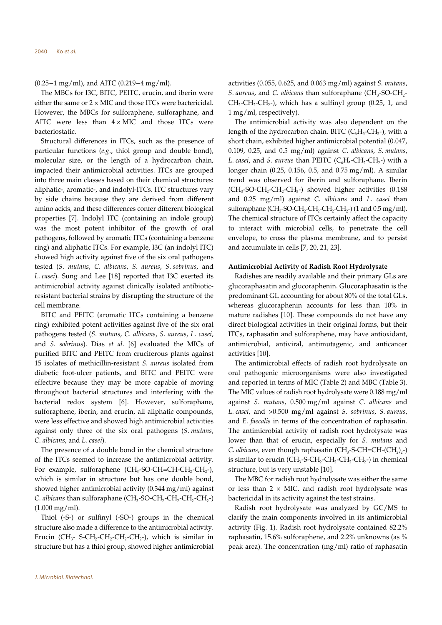(0.25-1 mg/ml), and AITC (0.219-4 mg/ml).

The MBCs for I3C, BITC, PEITC, erucin, and iberin were either the same or  $2 \times$  MIC and those ITCs were bactericidal. However, the MBCs for sulforaphene, sulforaphane, and AITC were less than  $4 \times$  MIC and those ITCs were bacteriostatic.

Structural differences in ITCs, such as the presence of particular functions (e.g., thiol group and double bond), molecular size, or the length of a hydrocarbon chain, impacted their antimicrobial activities. ITCs are grouped into three main classes based on their chemical structures: aliphatic-, aromatic-, and indolyl-ITCs. ITC structures vary by side chains because they are derived from different amino acids, and these differences confer different biological properties [7]. Indolyl ITC (containing an indole group) was the most potent inhibitor of the growth of oral pathogens, followed by aromatic ITCs (containing a benzene ring) and aliphatic ITCs. For example, I3C (an indolyl ITC) showed high activity against five of the six oral pathogens tested (S. mutans, C. albicans, S. aureus, S. sobrinus, and L. casei). Sung and Lee [18] reported that I3C exerted its antimicrobial activity against clinically isolated antibioticresistant bacterial strains by disrupting the structure of the cell membrane.

BITC and PEITC (aromatic ITCs containing a benzene ring) exhibited potent activities against five of the six oral pathogens tested (S. mutans, C. albicans, S. aureus, L. casei, and S. sobrinus). Dias et al. [6] evaluated the MICs of purified BITC and PEITC from cruciferous plants against 15 isolates of methicillin-resistant S. aureus isolated from diabetic foot-ulcer patients, and BITC and PEITC were effective because they may be more capable of moving throughout bacterial structures and interfering with the bacterial redox system [6]. However, sulforaphane, sulforaphene, iberin, and erucin, all aliphatic compounds, were less effective and showed high antimicrobial activities against only three of the six oral pathogens (S. mutans, C. albicans, and L. casei).

The presence of a double bond in the chemical structure of the ITCs seemed to increase the antimicrobial activity. For example, sulforaphene  $(CH_3$ -SO-CH=CH-CH<sub>2</sub>-CH<sub>2</sub>-), which is similar in structure but has one double bond, showed higher antimicrobial activity (0.344 mg/ml) against C. albicans than sulforaphane ( $CH_3$ -SO-CH<sub>2</sub>-CH<sub>2</sub>-CH<sub>2</sub>-CH<sub>2</sub>-) (1.000 mg/ml).

Thiol (-S-) or sulfinyl (-SO-) groups in the chemical structure also made a difference to the antimicrobial activity. Erucin (CH<sub>3</sub>- S-CH<sub>2</sub>-CH<sub>2</sub>-CH<sub>2</sub>-CH<sub>2</sub>-), which is similar in structure but has a thiol group, showed higher antimicrobial activities (0.055, 0.625, and 0.063 mg/ml) against  $S$ . *mutans*, S. aureus, and C. albicans than sulforaphane  $(CH_3$ -SO-CH<sub>2</sub>- $CH_2-CH_2-CH_2-$ ), which has a sulfinyl group (0.25, 1, and 1 mg/ml, respectively).

The antimicrobial activity was also dependent on the length of the hydrocarbon chain. BITC  $(C_6H_5-CH_2-)$ , with a short chain, exhibited higher antimicrobial potential (0.047, 0.109, 0.25, and 0.5 mg/ml) against C. albicans, S. mutans, L. casei, and S. aureus than PEITC  $(C_6H_5\text{-}CH_2\text{-}CH_2\text{-})$  with a longer chain (0.25, 0.156, 0.5, and 0.75 mg/ml). A similar trend was observed for iberin and sulforaphane. Iberin  $(CH<sub>3</sub>-SO-CH<sub>2</sub>-CH<sub>2</sub>-CH<sub>2</sub>-)$  showed higher activities (0.188) and 0.25 mg/ml) against C. albicans and L. casei than sulforaphane (CH<sub>3</sub>-SO-CH<sub>2</sub>-CH<sub>2</sub>-CH<sub>2</sub>-CH<sub>2</sub>-) (1 and 0.5 mg/ml). The chemical structure of ITCs certainly affect the capacity to interact with microbial cells, to penetrate the cell envelope, to cross the plasma membrane, and to persist and accumulate in cells [7, 20, 21, 23].

### Antimicrobial Activity of Radish Root Hydrolysate

Radishes are readily available and their primary GLs are glucoraphasatin and glucoraphenin. Glucoraphasatin is the predominant GL accounting for about 80% of the total GLs, whereas glucoraphenin accounts for less than 10% in mature radishes [10]. These compounds do not have any direct biological activities in their original forms, but their ITCs, raphasatin and sulforaphene, may have antioxidant, antimicrobial, antiviral, antimutagenic, and anticancer activities [10].

The antimicrobial effects of radish root hydrolysate on oral pathogenic microorganisms were also investigated and reported in terms of MIC (Table 2) and MBC (Table 3). The MIC values of radish root hydrolysate were 0.188 mg/ml against S. mutans, 0.500 mg/ml against C. albicans and L. casei, and >0.500 mg/ml against S. sobrinus, S. aureus, and E. faecalis in terms of the concentration of raphasatin. The antimicrobial activity of radish root hydrolysate was lower than that of erucin, especially for S. mutans and C. albicans, even though raphasatin ( $CH_3$ -S-CH=CH-(CH<sub>2</sub>)<sub>2</sub>-) is similar to erucin  $(CH_3$ -S-CH<sub>2</sub>-CH<sub>2</sub>-CH<sub>2</sub>-CH<sub>2</sub>-) in chemical structure, but is very unstable [10].

The MBC for radish root hydrolysate was either the same or less than  $2 \times$  MIC, and radish root hydrolysate was bactericidal in its activity against the test strains.

Radish root hydrolysate was analyzed by GC/MS to clarify the main components involved in its antimicrobial activity (Fig. 1). Radish root hydrolysate contained 82.2% raphasatin, 15.6% sulforaphene, and 2.2% unknowns (as % peak area). The concentration (mg/ml) ratio of raphasatin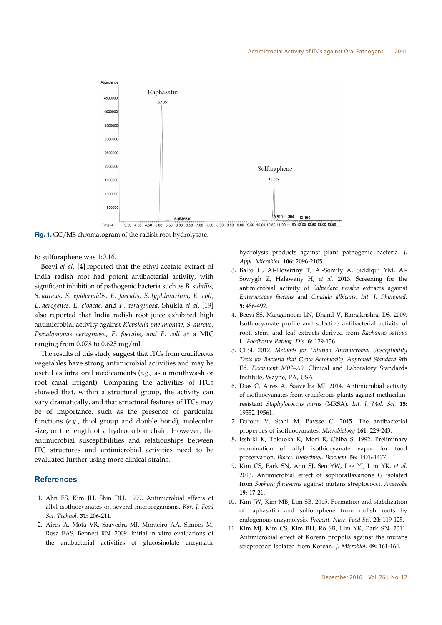

Fig. 1. GC/MS chromatogram of the radish root hydrolysate.

to sulforaphene was 1:0.16.

Beevi *et al*. [4] reported that the ethyl acetate extract of India radish root had potent antibacterial activity, with significant inhibition of pathogenic bacteria such as B. subtilis, S. aureus, S. epidermidis, E. faecalis, S. typhimurium, E. coli, E. aerogenes, E. cloacae, and P. aeruginosa. Shukla et al. [19] also reported that India radish root juice exhibited high antimicrobial activity against Klebsiella pneumoniae, S. aureus, Pseudomonas aeruginosa, E. faecalis, and E. coli at a MIC ranging from 0.078 to 0.625 mg/ml.

The results of this study suggest that ITCs from cruciferous vegetables have strong antimicrobial activities and may be useful as intra oral medicaments (e.g., as a mouthwash or root canal irrigant). Comparing the activities of ITCs showed that, within a structural group, the activity can vary dramatically, and that structural features of ITCs may be of importance, such as the presence of particular functions (e.g., thiol group and double bond), molecular size, or the length of a hydrocarbon chain. However, the antimicrobial susceptibilities and relationships between ITC structures and antimicrobial activities need to be evaluated further using more clinical strains.

# References

- 1. Ahn ES, Kim JH, Shin DH. 1999. Antimicrobial effects of allyl isothiocyanates on several microorganisms. Kor. J. Food Sci. Technol. 31: 206-211.
- 2. Aires A, Mota VR, Saavedra MJ, Monteiro AA, Simoes M, Rosa EAS, Bennett RN. 2009. Initial in vitro evaluations of the antibacterial activities of glucosinolate enzymatic

hydrolysis products against plant pathogenic bacteria. J. Appl. Microbiol. 106: 2096-2105.

- 3. Balto H, Al-Howiriny T, Al-Somily A, Siddiqui YM, Al-Sowygh Z, Halawany H, et al. 2013. Screening for the antimicrobial activity of Salvadora persica extracts against Enterococcus faecalis and Candida albicans. Int. J. Phytomed. 5: 486-492.
- 4. Beevi SS, Mangamoori LN, Dhand V, Ramakrishna DS. 2009. Isothiocyanate profile and selective antibacterial activity of root, stem, and leaf extracts derived from Raphanus sativus L. Foodborne Pathog. Dis. 6: 129-136.
- 5. CLSI. 2012. Methods for Dilution Antimicrobial Susceptibility Tests for Bacteria that Grow Aerobically, Approved Standard 9th Ed. Document M07–A9. Clinical and Laboratory Standards Institute, Wayne, PA, USA.
- 6. Dias C, Aires A, Saavedra MJ. 2014. Antimicrobial activity of isothiocyanates from cruciferous plants against methicillinresistant Staphylococcus aurus (MRSA). Int. J. Mol. Sci. 15: 19552-19561.
- 7. Dufour V, Stahl M, Baysse C. 2015. The antibacterial properties of isothiocyanates. Microbiology 161: 229-243.
- 8. Isshiki K, Tokuoka K, Mori R, Chiba S. 1992. Preliminary examination of allyl isothiocyanate vapor for food preservation. Biosci. Biotechnol. Biochem. 56: 1476-1477.
- 9. Kim CS, Park SN, Ahn SJ, Seo YW, Lee YJ, Lim YK, et al. 2013. Antimicrobial effect of sophoraflavanone G isolated from Sophora flavescens against mutans streptococci. Anaerobe 19: 17-21.
- 10. Kim JW, Kim MB, Lim SB. 2015. Formation and stabilization of raphasatin and sulforaphene from radish roots by endogenous enzymolysis. Prevent. Nutr. Food Sci. 20: 119-125.
- 11. Kim MJ, Kim CS, Kim BH, Ro SB, Lim YK, Park SN. 2011. Antimicrobial effect of Korean propolis against the mutans streptococci isolated from Korean. J. Microbiol. 49: 161-164.